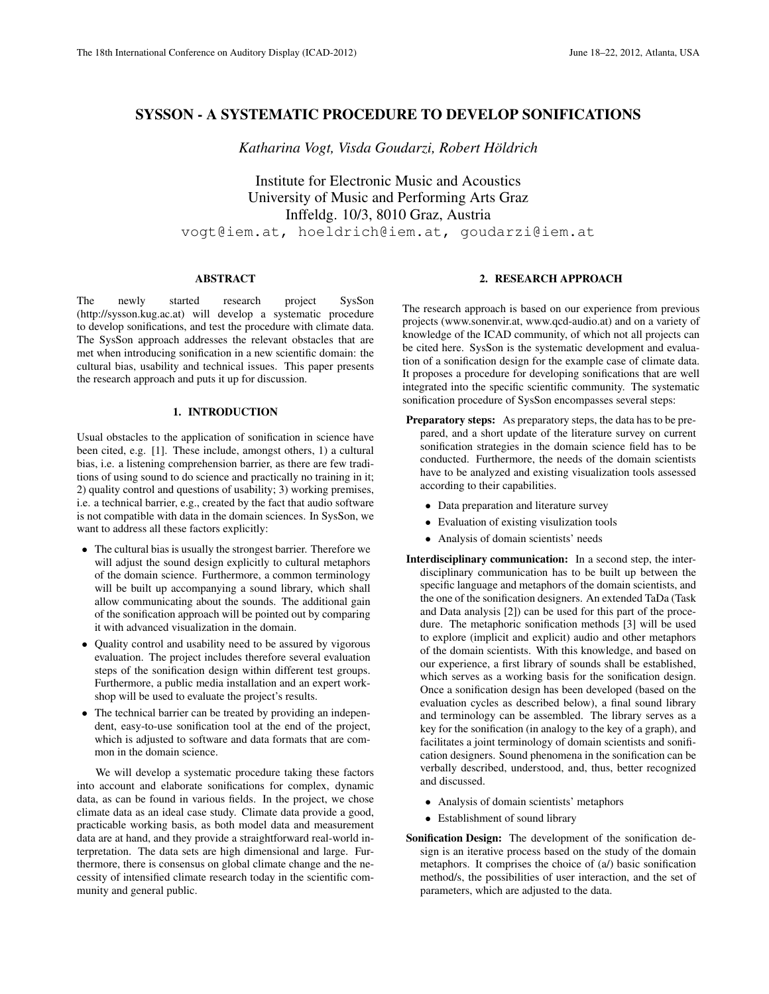# SYSSON - A SYSTEMATIC PROCEDURE TO DEVELOP SONIFICATIONS

*Katharina Vogt, Visda Goudarzi, Robert Holdrich ¨*

Institute for Electronic Music and Acoustics University of Music and Performing Arts Graz Inffeldg. 10/3, 8010 Graz, Austria vogt@iem.at, hoeldrich@iem.at, goudarzi@iem.at

### ABSTRACT

The newly started research project SysSon (http://sysson.kug.ac.at) will develop a systematic procedure to develop sonifications, and test the procedure with climate data. The SysSon approach addresses the relevant obstacles that are met when introducing sonification in a new scientific domain: the cultural bias, usability and technical issues. This paper presents the research approach and puts it up for discussion.

# 1. INTRODUCTION

Usual obstacles to the application of sonification in science have been cited, e.g. [1]. These include, amongst others, 1) a cultural bias, i.e. a listening comprehension barrier, as there are few traditions of using sound to do science and practically no training in it; 2) quality control and questions of usability; 3) working premises, i.e. a technical barrier, e.g., created by the fact that audio software is not compatible with data in the domain sciences. In SysSon, we want to address all these factors explicitly:

- The cultural bias is usually the strongest barrier. Therefore we will adjust the sound design explicitly to cultural metaphors of the domain science. Furthermore, a common terminology will be built up accompanying a sound library, which shall allow communicating about the sounds. The additional gain of the sonification approach will be pointed out by comparing it with advanced visualization in the domain.
- Quality control and usability need to be assured by vigorous evaluation. The project includes therefore several evaluation steps of the sonification design within different test groups. Furthermore, a public media installation and an expert workshop will be used to evaluate the project's results.
- The technical barrier can be treated by providing an independent, easy-to-use sonification tool at the end of the project, which is adjusted to software and data formats that are common in the domain science.

We will develop a systematic procedure taking these factors into account and elaborate sonifications for complex, dynamic data, as can be found in various fields. In the project, we chose climate data as an ideal case study. Climate data provide a good, practicable working basis, as both model data and measurement data are at hand, and they provide a straightforward real-world interpretation. The data sets are high dimensional and large. Furthermore, there is consensus on global climate change and the necessity of intensified climate research today in the scientific community and general public.

### 2. RESEARCH APPROACH

The research approach is based on our experience from previous projects (www.sonenvir.at, www.qcd-audio.at) and on a variety of knowledge of the ICAD community, of which not all projects can be cited here. SysSon is the systematic development and evaluation of a sonification design for the example case of climate data. It proposes a procedure for developing sonifications that are well integrated into the specific scientific community. The systematic sonification procedure of SysSon encompasses several steps:

- Preparatory steps: As preparatory steps, the data has to be prepared, and a short update of the literature survey on current sonification strategies in the domain science field has to be conducted. Furthermore, the needs of the domain scientists have to be analyzed and existing visualization tools assessed according to their capabilities.
	- Data preparation and literature survey
	- Evaluation of existing visulization tools
	- Analysis of domain scientists' needs
- Interdisciplinary communication: In a second step, the interdisciplinary communication has to be built up between the specific language and metaphors of the domain scientists, and the one of the sonification designers. An extended TaDa (Task and Data analysis [2]) can be used for this part of the procedure. The metaphoric sonification methods [3] will be used to explore (implicit and explicit) audio and other metaphors of the domain scientists. With this knowledge, and based on our experience, a first library of sounds shall be established, which serves as a working basis for the sonification design. Once a sonification design has been developed (based on the evaluation cycles as described below), a final sound library and terminology can be assembled. The library serves as a key for the sonification (in analogy to the key of a graph), and facilitates a joint terminology of domain scientists and sonification designers. Sound phenomena in the sonification can be verbally described, understood, and, thus, better recognized and discussed.
	- Analysis of domain scientists' metaphors
	- Establishment of sound library
- Sonification Design: The development of the sonification design is an iterative process based on the study of the domain metaphors. It comprises the choice of (a/) basic sonification method/s, the possibilities of user interaction, and the set of parameters, which are adjusted to the data.